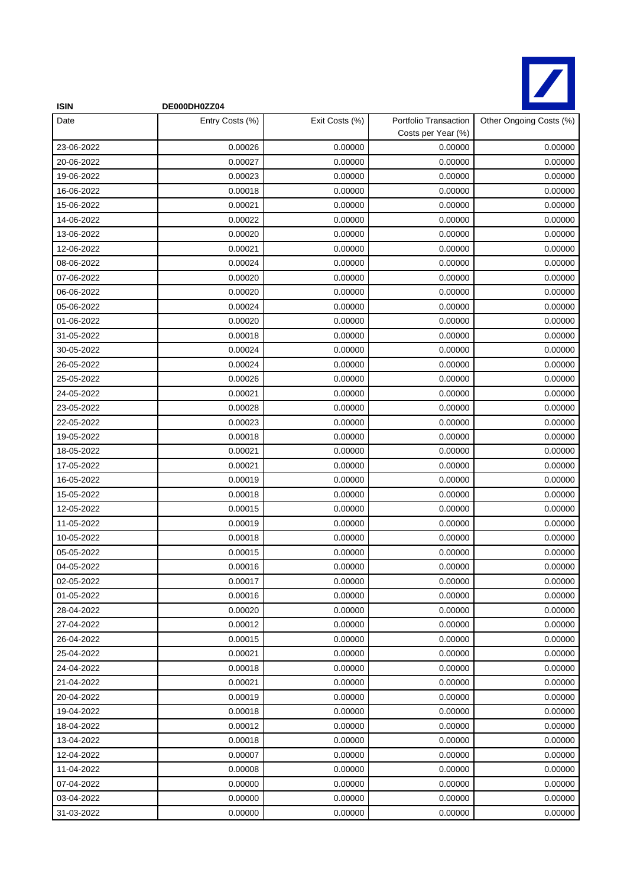

| <b>ISIN</b> | DE000DH0ZZ04    |                |                                             |                         |
|-------------|-----------------|----------------|---------------------------------------------|-------------------------|
| Date        | Entry Costs (%) | Exit Costs (%) | Portfolio Transaction<br>Costs per Year (%) | Other Ongoing Costs (%) |
| 23-06-2022  | 0.00026         | 0.00000        | 0.00000                                     | 0.00000                 |
| 20-06-2022  | 0.00027         | 0.00000        | 0.00000                                     | 0.00000                 |
| 19-06-2022  | 0.00023         | 0.00000        | 0.00000                                     | 0.00000                 |
| 16-06-2022  | 0.00018         | 0.00000        | 0.00000                                     | 0.00000                 |
| 15-06-2022  | 0.00021         | 0.00000        | 0.00000                                     | 0.00000                 |
| 14-06-2022  | 0.00022         | 0.00000        | 0.00000                                     | 0.00000                 |
| 13-06-2022  | 0.00020         | 0.00000        | 0.00000                                     | 0.00000                 |
| 12-06-2022  | 0.00021         | 0.00000        | 0.00000                                     | 0.00000                 |
| 08-06-2022  | 0.00024         | 0.00000        | 0.00000                                     | 0.00000                 |
| 07-06-2022  | 0.00020         | 0.00000        | 0.00000                                     | 0.00000                 |
| 06-06-2022  | 0.00020         | 0.00000        | 0.00000                                     | 0.00000                 |
| 05-06-2022  | 0.00024         | 0.00000        | 0.00000                                     | 0.00000                 |
| 01-06-2022  | 0.00020         | 0.00000        | 0.00000                                     | 0.00000                 |
| 31-05-2022  | 0.00018         | 0.00000        | 0.00000                                     | 0.00000                 |
| 30-05-2022  | 0.00024         | 0.00000        | 0.00000                                     | 0.00000                 |
| 26-05-2022  | 0.00024         | 0.00000        | 0.00000                                     | 0.00000                 |
| 25-05-2022  | 0.00026         | 0.00000        | 0.00000                                     | 0.00000                 |
| 24-05-2022  | 0.00021         | 0.00000        | 0.00000                                     | 0.00000                 |
| 23-05-2022  | 0.00028         | 0.00000        | 0.00000                                     | 0.00000                 |
| 22-05-2022  | 0.00023         | 0.00000        | 0.00000                                     | 0.00000                 |
| 19-05-2022  | 0.00018         | 0.00000        | 0.00000                                     | 0.00000                 |
| 18-05-2022  | 0.00021         | 0.00000        | 0.00000                                     | 0.00000                 |
| 17-05-2022  | 0.00021         | 0.00000        | 0.00000                                     | 0.00000                 |
| 16-05-2022  | 0.00019         | 0.00000        | 0.00000                                     | 0.00000                 |
| 15-05-2022  | 0.00018         | 0.00000        | 0.00000                                     | 0.00000                 |
| 12-05-2022  | 0.00015         | 0.00000        | 0.00000                                     | 0.00000                 |
| 11-05-2022  | 0.00019         | 0.00000        | 0.00000                                     | 0.00000                 |
| 10-05-2022  | 0.00018         | 0.00000        | 0.00000                                     | 0.00000                 |
| 05-05-2022  | 0.00015         | 0.00000        | 0.00000                                     | 0.00000                 |
| 04-05-2022  | 0.00016         | 0.00000        | 0.00000                                     | 0.00000                 |
| 02-05-2022  | 0.00017         | 0.00000        | 0.00000                                     | 0.00000                 |
| 01-05-2022  | 0.00016         | 0.00000        | 0.00000                                     | 0.00000                 |
| 28-04-2022  | 0.00020         | 0.00000        | 0.00000                                     | 0.00000                 |
| 27-04-2022  | 0.00012         | 0.00000        | 0.00000                                     | 0.00000                 |
| 26-04-2022  | 0.00015         | 0.00000        | 0.00000                                     | 0.00000                 |
| 25-04-2022  | 0.00021         | 0.00000        | 0.00000                                     | 0.00000                 |
| 24-04-2022  | 0.00018         | 0.00000        | 0.00000                                     | 0.00000                 |
| 21-04-2022  | 0.00021         | 0.00000        | 0.00000                                     | 0.00000                 |
| 20-04-2022  | 0.00019         | 0.00000        | 0.00000                                     | 0.00000                 |
| 19-04-2022  | 0.00018         | 0.00000        | 0.00000                                     | 0.00000                 |
| 18-04-2022  | 0.00012         | 0.00000        | 0.00000                                     | 0.00000                 |
| 13-04-2022  | 0.00018         | 0.00000        | 0.00000                                     | 0.00000                 |
| 12-04-2022  | 0.00007         | 0.00000        | 0.00000                                     | 0.00000                 |
| 11-04-2022  | 0.00008         | 0.00000        | 0.00000                                     | 0.00000                 |
| 07-04-2022  | 0.00000         | 0.00000        | 0.00000                                     | 0.00000                 |
| 03-04-2022  | 0.00000         | 0.00000        | 0.00000                                     | 0.00000                 |
| 31-03-2022  | 0.00000         | 0.00000        | 0.00000                                     | 0.00000                 |